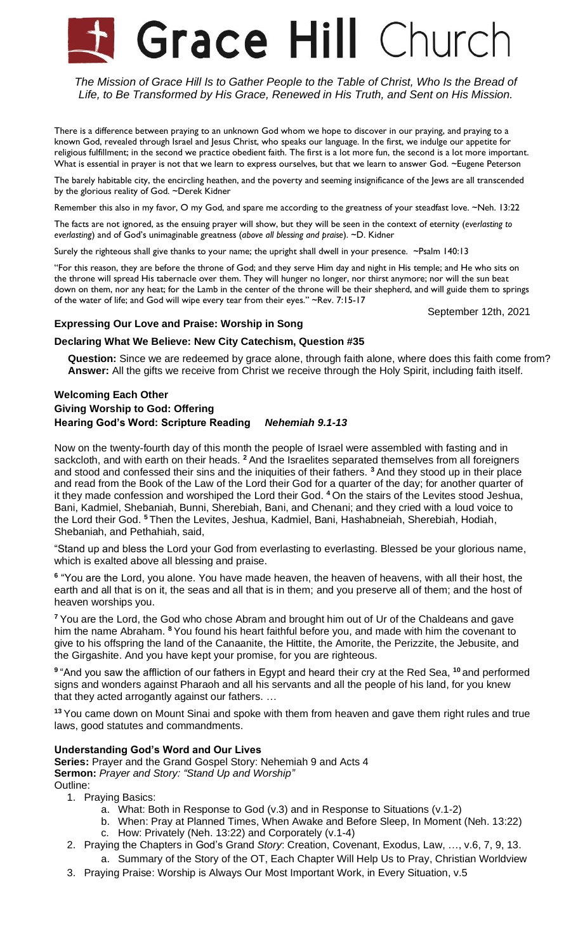# **Grace Hill Church**

*The Mission of Grace Hill Is to Gather People to the Table of Christ, Who Is the Bread of Life, to Be Transformed by His Grace, Renewed in His Truth, and Sent on His Mission.*

There is a difference between praying to an unknown God whom we hope to discover in our praying, and praying to a known God, revealed through Israel and Jesus Christ, who speaks our language. In the first, we indulge our appetite for religious fulfillment; in the second we practice obedient faith. The first is a lot more fun, the second is a lot more important. What is essential in prayer is not that we learn to express ourselves, but that we learn to answer God. ~Eugene Peterson

The barely habitable city, the encircling heathen, and the poverty and seeming insignificance of the Jews are all transcended by the glorious reality of God. ~Derek Kidner

Remember this also in my favor, O my God, and spare me according to the greatness of your steadfast love. ~Neh. 13:22

The facts are not ignored, as the ensuing prayer will show, but they will be seen in the context of eternity (*everlasting to everlasting*) and of God's unimaginable greatness (*above all blessing and praise*). ~D. Kidner

Surely the righteous shall give thanks to your name; the upright shall dwell in your presence. ~Psalm 140:13

"For this reason, they are before the throne of God; and they serve Him day and night in His temple; and He who sits on the throne will spread His tabernacle over them. They will hunger no longer, nor thirst anymore; nor will the sun beat down on them, nor any heat; for the Lamb in the center of the throne will be their shepherd, and will guide them to springs of the water of life; and God will wipe every tear from their eyes." ~Rev. 7:15-17

September 12th, 2021

## **Expressing Our Love and Praise: Worship in Song**

**Declaring What We Believe: New City Catechism, Question #35**

**Question:** Since we are redeemed by grace alone, through faith alone, where does this faith come from? **Answer:** All the gifts we receive from Christ we receive through the Holy Spirit, including faith itself.

# **Welcoming Each Other Giving Worship to God: Offering Hearing God's Word: Scripture Reading** *Nehemiah 9.1-13*

Now on the twenty-fourth day of this month the people of Israel were assembled with fasting and in sackcloth, and with earth on their heads. **<sup>2</sup>** And the Israelites separated themselves from all foreigners and stood and confessed their sins and the iniquities of their fathers. **<sup>3</sup>** And they stood up in their place and read from the Book of the Law of the Lord their God for a quarter of the day; for another quarter of it they made confession and worshiped the Lord their God. **<sup>4</sup>** On the stairs of the Levites stood Jeshua, Bani, Kadmiel, Shebaniah, Bunni, Sherebiah, Bani, and Chenani; and they cried with a loud voice to the Lord their God. **<sup>5</sup>** Then the Levites, Jeshua, Kadmiel, Bani, Hashabneiah, Sherebiah, Hodiah, Shebaniah, and Pethahiah, said,

"Stand up and bless the Lord your God from everlasting to everlasting. Blessed be your glorious name, which is exalted above all blessing and praise.

<sup>6</sup> "You are the Lord, you alone. You have made heaven, the heaven of heavens, with all their host, the earth and all that is on it, the seas and all that is in them; and you preserve all of them; and the host of heaven worships you.

**<sup>7</sup>** You are the Lord, the God who chose Abram and brought him out of Ur of the Chaldeans and gave him the name Abraham. **<sup>8</sup>** You found his heart faithful before you, and made with him the covenant to give to his offspring the land of the Canaanite, the Hittite, the Amorite, the Perizzite, the Jebusite, and the Girgashite. And you have kept your promise, for you are righteous.

**9** "And you saw the affliction of our fathers in Egypt and heard their cry at the Red Sea, **<sup>10</sup>** and performed signs and wonders against Pharaoh and all his servants and all the people of his land, for you knew that they acted arrogantly against our fathers. …

**<sup>13</sup>** You came down on Mount Sinai and spoke with them from heaven and gave them right rules and true laws, good statutes and commandments.

# **Understanding God's Word and Our Lives**

**Series:** Prayer and the Grand Gospel Story: Nehemiah 9 and Acts 4 **Sermon:** *Prayer and Story: "Stand Up and Worship"* Outline:

- 1. Praying Basics:
	- a. What: Both in Response to God (v.3) and in Response to Situations (v.1-2)
	- b. When: Pray at Planned Times, When Awake and Before Sleep, In Moment (Neh. 13:22) c. How: Privately (Neh. 13:22) and Corporately (v.1-4)
- 2. Praying the Chapters in God's Grand *Story*: Creation, Covenant, Exodus, Law, …, v.6, 7, 9, 13.

a. Summary of the Story of the OT, Each Chapter Will Help Us to Pray, Christian Worldview

3. Praying Praise: Worship is Always Our Most Important Work, in Every Situation, v.5